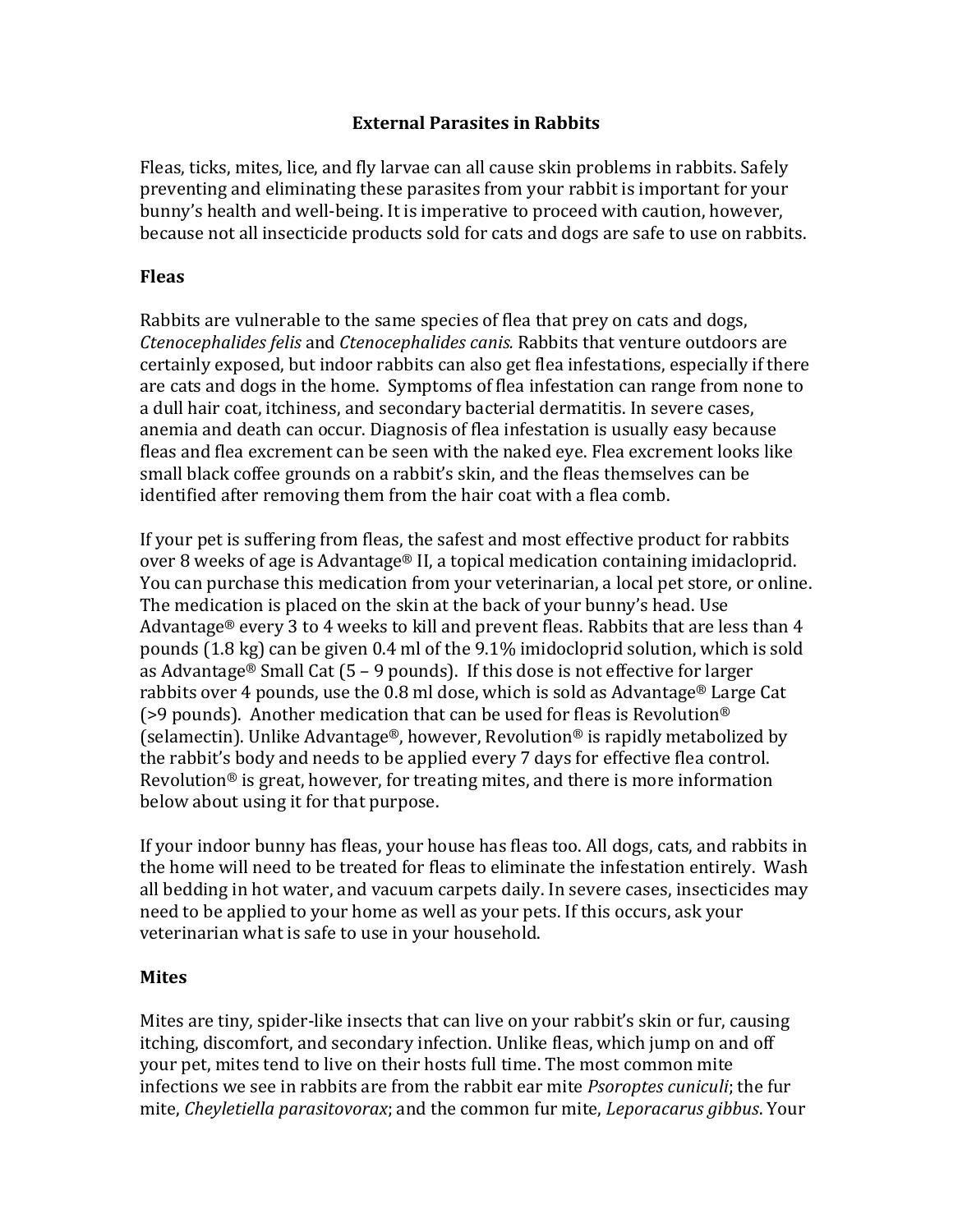## **External Parasites in Rabbits**

Fleas, ticks, mites, lice, and fly larvae can all cause skin problems in rabbits. Safely preventing and eliminating these parasites from your rabbit is important for your bunny's health and well-being. It is imperative to proceed with caution, however, because not all insecticide products sold for cats and dogs are safe to use on rabbits.

### **Fleas**

Rabbits are vulnerable to the same species of flea that prey on cats and dogs, *Ctenocephalides felis* and *Ctenocephalides canis.* Rabbits that venture outdoors are certainly exposed, but indoor rabbits can also get flea infestations, especially if there are cats and dogs in the home. Symptoms of flea infestation can range from none to a dull hair coat, itchiness, and secondary bacterial dermatitis. In severe cases, anemia and death can occur. Diagnosis of flea infestation is usually easy because fleas and flea excrement can be seen with the naked eye. Flea excrement looks like small black coffee grounds on a rabbit's skin, and the fleas themselves can be identified after removing them from the hair coat with a flea comb.

If your pet is suffering from fleas, the safest and most effective product for rabbits over 8 weeks of age is Advantage® II, a topical medication containing imidacloprid. You can purchase this medication from your veterinarian, a local pet store, or online. The medication is placed on the skin at the back of your bunny's head. Use Advantage® every 3 to 4 weeks to kill and prevent fleas. Rabbits that are less than 4 pounds (1.8 kg) can be given 0.4 ml of the 9.1% imidocloprid solution, which is sold as Advantage® Small Cat  $(5 - 9$  pounds). If this dose is not effective for larger rabbits over 4 pounds, use the 0.8 ml dose, which is sold as Advantage® Large Cat ( $>9$  pounds). Another medication that can be used for fleas is Revolution<sup>®</sup> (selamectin). Unlike Advantage®, however, Revolution® is rapidly metabolized by the rabbit's body and needs to be applied every 7 days for effective flea control. Revolution<sup>®</sup> is great, however, for treating mites, and there is more information below about using it for that purpose.

If your indoor bunny has fleas, your house has fleas too. All dogs, cats, and rabbits in the home will need to be treated for fleas to eliminate the infestation entirely. Wash all bedding in hot water, and vacuum carpets daily. In severe cases, insecticides may need to be applied to your home as well as your pets. If this occurs, ask your veterinarian what is safe to use in your household.

#### **Mites**

Mites are tiny, spider-like insects that can live on your rabbit's skin or fur, causing itching, discomfort, and secondary infection. Unlike fleas, which jump on and off your pet, mites tend to live on their hosts full time. The most common mite infections we see in rabbits are from the rabbit ear mite *Psoroptes cuniculi*; the fur mite, *Cheyletiella parasitovorax*; and the common fur mite, *Leporacarus gibbus*. Your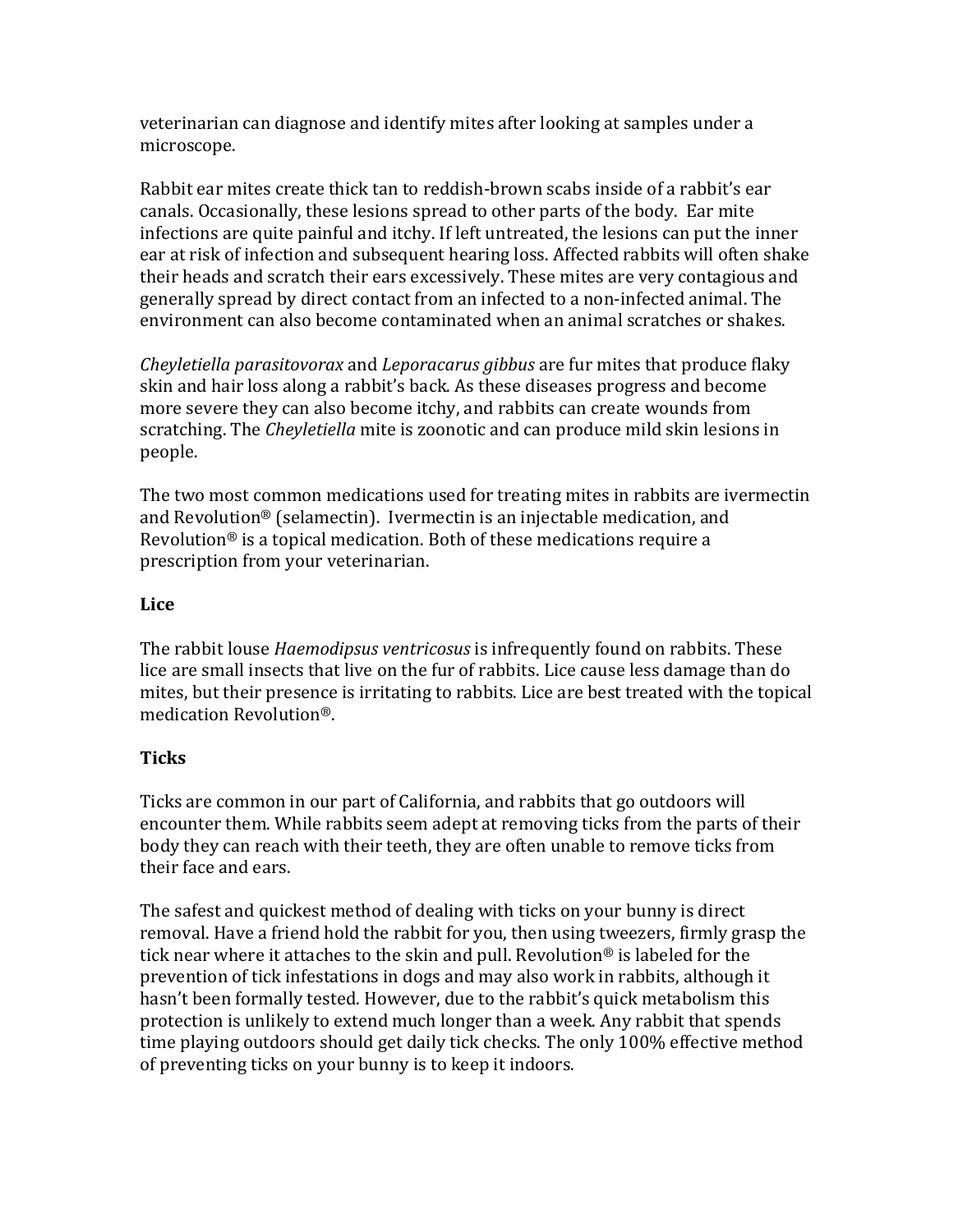veterinarian can diagnose and identify mites after looking at samples under a microscope.

Rabbit ear mites create thick tan to reddish-brown scabs inside of a rabbit's ear canals. Occasionally, these lesions spread to other parts of the body. Ear mite infections are quite painful and itchy. If left untreated, the lesions can put the inner ear at risk of infection and subsequent hearing loss. Affected rabbits will often shake their heads and scratch their ears excessively. These mites are very contagious and generally spread by direct contact from an infected to a non-infected animal. The environment can also become contaminated when an animal scratches or shakes.

*Cheyletiella parasitovorax* and *Leporacarus gibbus* are fur mites that produce flaky skin and hair loss along a rabbit's back. As these diseases progress and become more severe they can also become itchy, and rabbits can create wounds from scratching. The *Cheyletiella* mite is zoonotic and can produce mild skin lesions in people.

The two most common medications used for treating mites in rabbits are ivermectin and Revolution® (selamectin). Ivermectin is an injectable medication, and Revolution® is a topical medication. Both of these medications require a prescription from your veterinarian.

## **Lice**

The rabbit louse *Haemodipsus ventricosus* is infrequently found on rabbits. These lice are small insects that live on the fur of rabbits. Lice cause less damage than do mites, but their presence is irritating to rabbits. Lice are best treated with the topical medication Revolution®.

# **Ticks**

Ticks are common in our part of California, and rabbits that go outdoors will encounter them. While rabbits seem adept at removing ticks from the parts of their body they can reach with their teeth, they are often unable to remove ticks from their face and ears.

The safest and quickest method of dealing with ticks on your bunny is direct removal. Have a friend hold the rabbit for you, then using tweezers, firmly grasp the tick near where it attaches to the skin and pull. Revolution® is labeled for the prevention of tick infestations in dogs and may also work in rabbits, although it hasn't been formally tested. However, due to the rabbit's quick metabolism this protection is unlikely to extend much longer than a week. Any rabbit that spends time playing outdoors should get daily tick checks. The only 100% effective method of preventing ticks on your bunny is to keep it indoors.